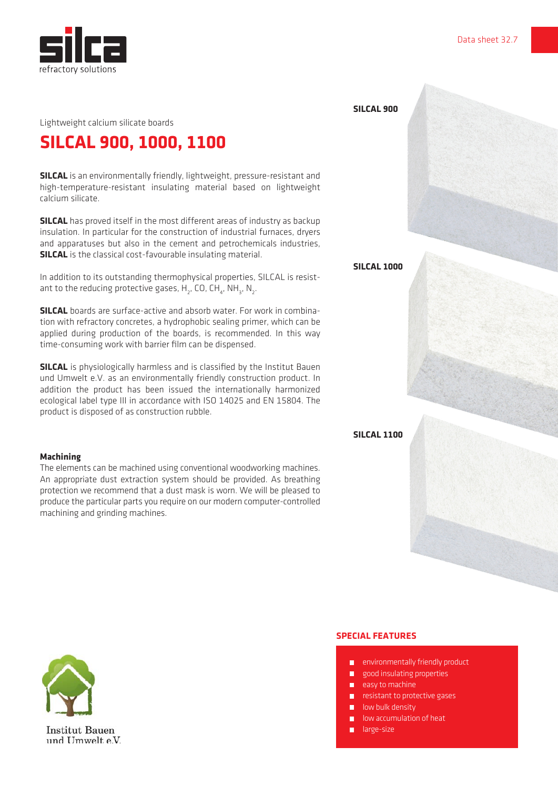

## **SILCAL 900, 1000, 1100**

**SILCAL** is an environmentally friendly, lightweight, pressure-resistant and high-temperature-resistant insulating material based on lightweight calcium silicate.

**SILCAL** has proved itself in the most different areas of industry as backup insulation. In particular for the construction of industrial furnaces, dryers and apparatuses but also in the cement and petrochemicals industries, **SILCAL** is the classical cost-favourable insulating material.

In addition to its outstanding thermophysical properties, SILCAL is resistant to the reducing protective gases,  $H_{2}$ , CO, CH<sub>4</sub>, NH<sub>3</sub>, N<sub>2</sub>.

**SILCAL** boards are surface-active and absorb water. For work in combination with refractory concretes, a hydrophobic sealing primer, which can be applied during production of the boards, is recommended. In this way time-consuming work with barrier film can be dispensed.

**SILCAL** is physiologically harmless and is classified by the Institut Bauen und Umwelt e.V. as an environmentally friendly construction product. In addition the product has been issued the internationally harmonized ecological label type III in accordance with ISO 14025 and EN 15804. The product is disposed of as construction rubble.

## **Machining**

The elements can be machined using conventional woodworking machines. An appropriate dust extraction system should be provided. As breathing protection we recommend that a dust mask is worn. We will be pleased to produce the particular parts you require on our modern computer-controlled machining and grinding machines.

**SPECIAL FEATURES**

- **E** environmentally friendly product
- good insulating properties
- $\blacksquare$  easy to machine
- $\blacksquare$  resistant to protective gases
- $\blacksquare$  low bulk density
- **low accumulation of heat**
- **large-size**





**SILCAL 900**

**SILCAL 1000**

**SILCAL 1100**